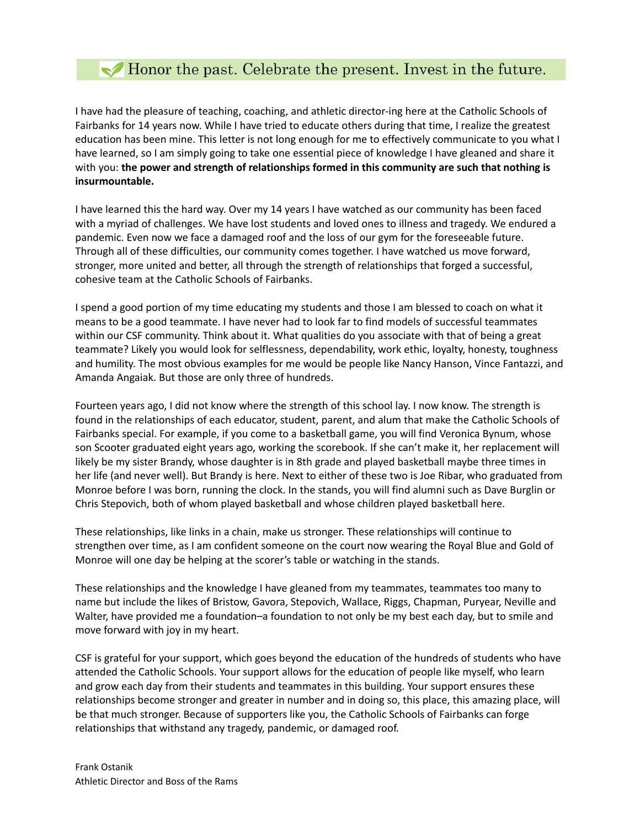## Honor the past. Celebrate the present. Invest in the future.

I have had the pleasure of teaching, coaching, and athletic director-ing here at the Catholic Schools of Fairbanks for 14 years now. While I have tried to educate others during that time, I realize the greatest education has been mine. This letter is not long enough for me to effectively communicate to you what I have learned, so I am simply going to take one essential piece of knowledge I have gleaned and share it with you: **the power and strength of relationships formed in this community are such that nothing is insurmountable.**

I have learned this the hard way. Over my 14 years I have watched as our community has been faced with a myriad of challenges. We have lost students and loved ones to illness and tragedy. We endured a pandemic. Even now we face a damaged roof and the loss of our gym for the foreseeable future. Through all of these difficulties, our community comes together. I have watched us move forward, stronger, more united and better, all through the strength of relationships that forged a successful, cohesive team at the Catholic Schools of Fairbanks.

I spend a good portion of my time educating my students and those I am blessed to coach on what it means to be a good teammate. I have never had to look far to find models of successful teammates within our CSF community. Think about it. What qualities do you associate with that of being a great teammate? Likely you would look for selflessness, dependability, work ethic, loyalty, honesty, toughness and humility. The most obvious examples for me would be people like Nancy Hanson, Vince Fantazzi, and Amanda Angaiak. But those are only three of hundreds.

Fourteen years ago, I did not know where the strength of this school lay. I now know. The strength is found in the relationships of each educator, student, parent, and alum that make the Catholic Schools of Fairbanks special. For example, if you come to a basketball game, you will find Veronica Bynum, whose son Scooter graduated eight years ago, working the scorebook. If she can't make it, her replacement will likely be my sister Brandy, whose daughter is in 8th grade and played basketball maybe three times in her life (and never well). But Brandy is here. Next to either of these two is Joe Ribar, who graduated from Monroe before I was born, running the clock. In the stands, you will find alumni such as Dave Burglin or Chris Stepovich, both of whom played basketball and whose children played basketball here.

These relationships, like links in a chain, make us stronger. These relationships will continue to strengthen over time, as I am confident someone on the court now wearing the Royal Blue and Gold of Monroe will one day be helping at the scorer's table or watching in the stands.

These relationships and the knowledge I have gleaned from my teammates, teammates too many to name but include the likes of Bristow, Gavora, Stepovich, Wallace, Riggs, Chapman, Puryear, Neville and Walter, have provided me a foundation–a foundation to not only be my best each day, but to smile and move forward with joy in my heart.

CSF is grateful for your support, which goes beyond the education of the hundreds of students who have attended the Catholic Schools. Your support allows for the education of people like myself, who learn and grow each day from their students and teammates in this building. Your support ensures these relationships become stronger and greater in number and in doing so, this place, this amazing place, will be that much stronger. Because of supporters like you, the Catholic Schools of Fairbanks can forge relationships that withstand any tragedy, pandemic, or damaged roof.